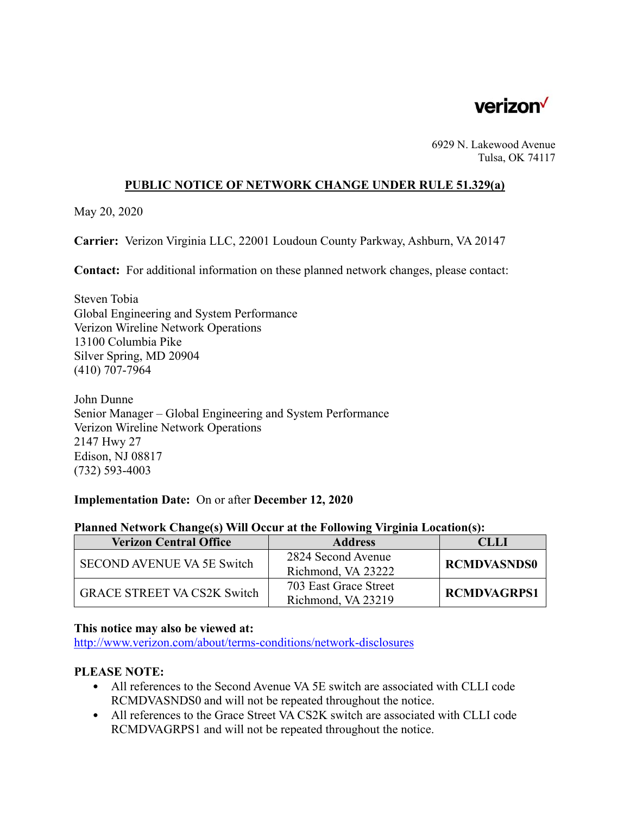

6929 N. Lakewood Avenue Tulsa, OK 74117

### **PUBLIC NOTICE OF NETWORK CHANGE UNDER RULE 51.329(a)**

May 20, 2020

**Carrier:** Verizon Virginia LLC, 22001 Loudoun County Parkway, Ashburn, VA 20147

**Contact:** For additional information on these planned network changes, please contact:

Steven Tobia Global Engineering and System Performance Verizon Wireline Network Operations 13100 Columbia Pike Silver Spring, MD 20904 (410) 707-7964

John Dunne Senior Manager – Global Engineering and System Performance Verizon Wireline Network Operations 2147 Hwy 27 Edison, NJ 08817 (732) 593-4003

#### **Implementation Date:** On or after **December 12, 2020**

| Planned Network Change(s) Will Occur at the Following Virginia Location(s): |                |             |
|-----------------------------------------------------------------------------|----------------|-------------|
| <b>Verizon Central Office</b>                                               | <b>Address</b> | <b>CLLI</b> |
|                                                                             |                |             |

### **Planned Network Change(s) Will Occur at the Following Virginia Location(s):**

| <b>Verizon Central Office</b>      | <b>Address</b>        | CLLI               |
|------------------------------------|-----------------------|--------------------|
| SECOND AVENUE VA 5E Switch         | 2824 Second Avenue    | <b>RCMDVASNDS0</b> |
|                                    | Richmond, VA 23222    |                    |
| <b>GRACE STREET VA CS2K Switch</b> | 703 East Grace Street | <b>RCMDVAGRPS1</b> |
|                                    | Richmond, VA 23219    |                    |

# **This notice may also be viewed at:**

http://www.verizon.com/about/terms-conditions/network-disclosures

# **PLEASE NOTE:**

- All references to the Second Avenue VA 5E switch are associated with CLLI code RCMDVASNDS0 and will not be repeated throughout the notice.
- All references to the Grace Street VA CS2K switch are associated with CLLI code RCMDVAGRPS1 and will not be repeated throughout the notice.